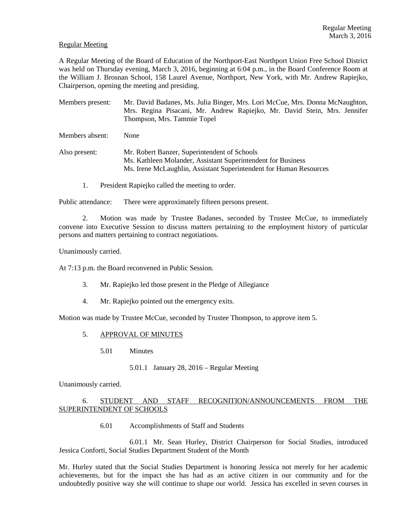# Regular Meeting

A Regular Meeting of the Board of Education of the Northport-East Northport Union Free School District was held on Thursday evening, March 3, 2016, beginning at 6:04 p.m., in the Board Conference Room at the William J. Brosnan School, 158 Laurel Avenue, Northport, New York, with Mr. Andrew Rapiejko, Chairperson, opening the meeting and presiding.

- Members present: Mr. David Badanes, Ms. Julia Binger, Mrs. Lori McCue, Mrs. Donna McNaughton, Mrs. Regina Pisacani, Mr. Andrew Rapiejko, Mr. David Stein, Mrs. Jennifer Thompson, Mrs. Tammie Topel Members absent: None Also present: Mr. Robert Banzer, Superintendent of Schools
- Ms. Kathleen Molander, Assistant Superintendent for Business Ms. Irene McLaughlin, Assistant Superintendent for Human Resources
	- 1. President Rapiejko called the meeting to order.

Public attendance: There were approximately fifteen persons present.

2. Motion was made by Trustee Badanes, seconded by Trustee McCue, to immediately convene into Executive Session to discuss matters pertaining to the employment history of particular persons and matters pertaining to contract negotiations.

Unanimously carried.

At 7:13 p.m. the Board reconvened in Public Session.

- 3. Mr. Rapiejko led those present in the Pledge of Allegiance
- 4. Mr. Rapiejko pointed out the emergency exits.

Motion was made by Trustee McCue, seconded by Trustee Thompson, to approve item 5.

- 5. APPROVAL OF MINUTES
	- 5.01 Minutes
		- 5.01.1 January 28, 2016 Regular Meeting

Unanimously carried.

# 6. STUDENT AND STAFF RECOGNITION/ANNOUNCEMENTS FROM THE SUPERINTENDENT OF SCHOOLS

6.01 Accomplishments of Staff and Students

 6.01.1 Mr. Sean Hurley, District Chairperson for Social Studies, introduced Jessica Conforti, Social Studies Department Student of the Month

Mr. Hurley stated that the Social Studies Department is honoring Jessica not merely for her academic achievements, but for the impact she has had as an active citizen in our community and for the undoubtedly positive way she will continue to shape our world. Jessica has excelled in seven courses in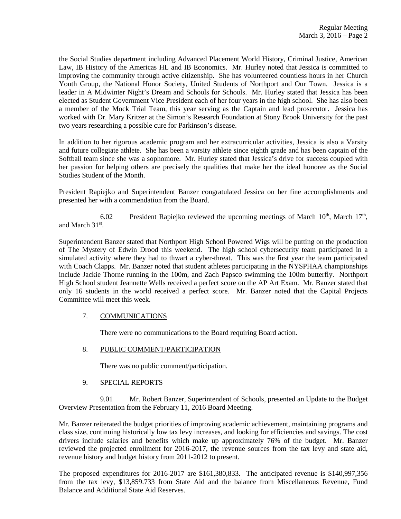the Social Studies department including Advanced Placement World History, Criminal Justice, American Law, IB History of the Americas HL and IB Economics. Mr. Hurley noted that Jessica is committed to improving the community through active citizenship. She has volunteered countless hours in her Church Youth Group, the National Honor Society, United Students of Northport and Our Town. Jessica is a leader in A Midwinter Night's Dream and Schools for Schools. Mr. Hurley stated that Jessica has been elected as Student Government Vice President each of her four years in the high school. She has also been a member of the Mock Trial Team, this year serving as the Captain and lead prosecutor. Jessica has worked with Dr. Mary Kritzer at the Simon's Research Foundation at Stony Brook University for the past two years researching a possible cure for Parkinson's disease.

In addition to her rigorous academic program and her extracurricular activities, Jessica is also a Varsity and future collegiate athlete. She has been a varsity athlete since eighth grade and has been captain of the Softball team since she was a sophomore. Mr. Hurley stated that Jessica's drive for success coupled with her passion for helping others are precisely the qualities that make her the ideal honoree as the Social Studies Student of the Month.

President Rapiejko and Superintendent Banzer congratulated Jessica on her fine accomplishments and presented her with a commendation from the Board.

6.02 President Rapiejko reviewed the upcoming meetings of March  $10<sup>th</sup>$ , March  $17<sup>th</sup>$ , and March 31st .

Superintendent Banzer stated that Northport High School Powered Wigs will be putting on the production of The Mystery of Edwin Drood this weekend. The high school cybersecurity team participated in a simulated activity where they had to thwart a cyber-threat. This was the first year the team participated with Coach Clapps. Mr. Banzer noted that student athletes participating in the NYSPHAA championships include Jackie Thorne running in the 100m, and Zach Papsco swimming the 100m butterfly. Northport High School student Jeannette Wells received a perfect score on the AP Art Exam. Mr. Banzer stated that only 16 students in the world received a perfect score. Mr. Banzer noted that the Capital Projects Committee will meet this week.

# 7. COMMUNICATIONS

There were no communications to the Board requiring Board action.

# 8. PUBLIC COMMENT/PARTICIPATION

There was no public comment/participation.

# 9. SPECIAL REPORTS

 9.01 Mr. Robert Banzer, Superintendent of Schools, presented an Update to the Budget Overview Presentation from the February 11, 2016 Board Meeting.

Mr. Banzer reiterated the budget priorities of improving academic achievement, maintaining programs and class size, continuing historically low tax levy increases, and looking for efficiencies and savings. The cost drivers include salaries and benefits which make up approximately 76% of the budget. Mr. Banzer reviewed the projected enrollment for 2016-2017, the revenue sources from the tax levy and state aid, revenue history and budget history from 2011-2012 to present.

The proposed expenditures for 2016-2017 are \$161,380,833. The anticipated revenue is \$140,997,356 from the tax levy, \$13,859.733 from State Aid and the balance from Miscellaneous Revenue, Fund Balance and Additional State Aid Reserves.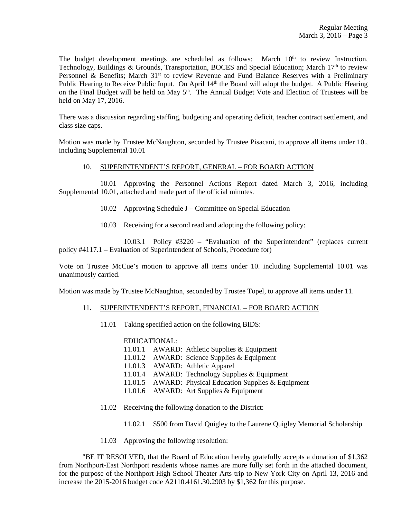The budget development meetings are scheduled as follows: March  $10<sup>th</sup>$  to review Instruction, Technology, Buildings & Grounds, Transportation, BOCES and Special Education; March  $17<sup>th</sup>$  to review Personnel & Benefits; March 31<sup>st</sup> to review Revenue and Fund Balance Reserves with a Preliminary Public Hearing to Receive Public Input. On April 14<sup>th</sup> the Board will adopt the budget. A Public Hearing on the Final Budget will be held on May  $5<sup>th</sup>$ . The Annual Budget Vote and Election of Trustees will be held on May 17, 2016.

There was a discussion regarding staffing, budgeting and operating deficit, teacher contract settlement, and class size caps.

Motion was made by Trustee McNaughton, seconded by Trustee Pisacani, to approve all items under 10., including Supplemental 10.01

#### 10. SUPERINTENDENT'S REPORT, GENERAL – FOR BOARD ACTION

 10.01 Approving the Personnel Actions Report dated March 3, 2016, including Supplemental 10.01, attached and made part of the official minutes.

- 10.02 Approving Schedule J Committee on Special Education
- 10.03 Receiving for a second read and adopting the following policy:

 10.03.1 Policy #3220 – "Evaluation of the Superintendent" (replaces current policy #4117.1 – Evaluation of Superintendent of Schools, Procedure for)

Vote on Trustee McCue's motion to approve all items under 10. including Supplemental 10.01 was unanimously carried.

Motion was made by Trustee McNaughton, seconded by Trustee Topel, to approve all items under 11.

# 11. SUPERINTENDENT'S REPORT, FINANCIAL – FOR BOARD ACTION

11.01 Taking specified action on the following BIDS:

# EDUCATIONAL:

- 11.01.1 AWARD: Athletic Supplies & Equipment
- 11.01.2 AWARD: Science Supplies & Equipment
- 11.01.3 AWARD: Athletic Apparel
- 11.01.4 AWARD: Technology Supplies & Equipment
- 11.01.5 AWARD: Physical Education Supplies & Equipment
- 11.01.6 AWARD: Art Supplies & Equipment
- 11.02 Receiving the following donation to the District:
	- 11.02.1 \$500 from David Quigley to the Laurene Quigley Memorial Scholarship
- 11.03 Approving the following resolution:

 "BE IT RESOLVED, that the Board of Education hereby gratefully accepts a donation of \$1,362 from Northport-East Northport residents whose names are more fully set forth in the attached document, for the purpose of the Northport High School Theater Arts trip to New York City on April 13, 2016 and increase the 2015-2016 budget code A2110.4161.30.2903 by \$1,362 for this purpose.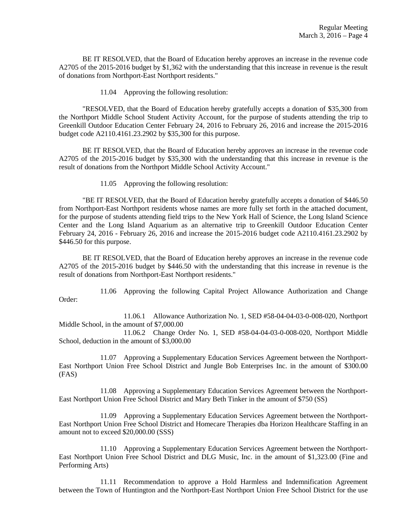BE IT RESOLVED, that the Board of Education hereby approves an increase in the revenue code A2705 of the 2015-2016 budget by \$1,362 with the understanding that this increase in revenue is the result of donations from Northport-East Northport residents."

11.04 Approving the following resolution:

 "RESOLVED, that the Board of Education hereby gratefully accepts a donation of \$35,300 from the Northport Middle School Student Activity Account, for the purpose of students attending the trip to Greenkill Outdoor Education Center February 24, 2016 to February 26, 2016 and increase the 2015-2016 budget code A2110.4161.23.2902 by \$35,300 for this purpose.

 BE IT RESOLVED, that the Board of Education hereby approves an increase in the revenue code A2705 of the 2015-2016 budget by \$35,300 with the understanding that this increase in revenue is the result of donations from the Northport Middle School Activity Account."

11.05 Approving the following resolution:

 "BE IT RESOLVED, that the Board of Education hereby gratefully accepts a donation of \$446.50 from Northport-East Northport residents whose names are more fully set forth in the attached document, for the purpose of students attending field trips to the New York Hall of Science, the Long Island Science Center and the Long Island Aquarium as an alternative trip to Greenkill Outdoor Education Center February 24, 2016 - February 26, 2016 and increase the 2015-2016 budget code A2110.4161.23.2902 by \$446.50 for this purpose.

 BE IT RESOLVED, that the Board of Education hereby approves an increase in the revenue code A2705 of the 2015-2016 budget by \$446.50 with the understanding that this increase in revenue is the result of donations from Northport-East Northport residents."

 11.06 Approving the following Capital Project Allowance Authorization and Change Order:

 11.06.1 Allowance Authorization No. 1, SED #58-04-04-03-0-008-020, Northport Middle School, in the amount of \$7,000.00

 11.06.2 Change Order No. 1, SED #58-04-04-03-0-008-020, Northport Middle School, deduction in the amount of \$3,000.00

 11.07 Approving a Supplementary Education Services Agreement between the Northport-East Northport Union Free School District and Jungle Bob Enterprises Inc. in the amount of \$300.00 (FAS)

 11.08 Approving a Supplementary Education Services Agreement between the Northport-East Northport Union Free School District and Mary Beth Tinker in the amount of \$750 (SS)

 11.09 Approving a Supplementary Education Services Agreement between the Northport-East Northport Union Free School District and Homecare Therapies dba Horizon Healthcare Staffing in an amount not to exceed \$20,000.00 (SSS)

 11.10 Approving a Supplementary Education Services Agreement between the Northport-East Northport Union Free School District and DLG Music, Inc. in the amount of \$1,323.00 (Fine and Performing Arts)

 11.11 Recommendation to approve a Hold Harmless and Indemnification Agreement between the Town of Huntington and the Northport-East Northport Union Free School District for the use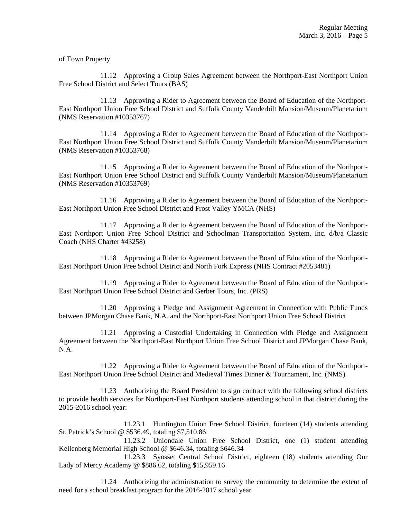of Town Property

 11.12 Approving a Group Sales Agreement between the Northport-East Northport Union Free School District and Select Tours (BAS)

 11.13 Approving a Rider to Agreement between the Board of Education of the Northport-East Northport Union Free School District and Suffolk County Vanderbilt Mansion/Museum/Planetarium (NMS Reservation #10353767)

 11.14 Approving a Rider to Agreement between the Board of Education of the Northport-East Northport Union Free School District and Suffolk County Vanderbilt Mansion/Museum/Planetarium (NMS Reservation #10353768)

 11.15 Approving a Rider to Agreement between the Board of Education of the Northport-East Northport Union Free School District and Suffolk County Vanderbilt Mansion/Museum/Planetarium (NMS Reservation #10353769)

 11.16 Approving a Rider to Agreement between the Board of Education of the Northport-East Northport Union Free School District and Frost Valley YMCA (NHS)

 11.17 Approving a Rider to Agreement between the Board of Education of the Northport-East Northport Union Free School District and Schoolman Transportation System, Inc. d/b/a Classic Coach (NHS Charter #43258)

 11.18 Approving a Rider to Agreement between the Board of Education of the Northport-East Northport Union Free School District and North Fork Express (NHS Contract #2053481)

 11.19 Approving a Rider to Agreement between the Board of Education of the Northport-East Northport Union Free School District and Gerber Tours, Inc. (PRS)

 11.20 Approving a Pledge and Assignment Agreement in Connection with Public Funds between JPMorgan Chase Bank, N.A. and the Northport-East Northport Union Free School District

 11.21 Approving a Custodial Undertaking in Connection with Pledge and Assignment Agreement between the Northport-East Northport Union Free School District and JPMorgan Chase Bank, N.A.

 11.22 Approving a Rider to Agreement between the Board of Education of the Northport-East Northport Union Free School District and Medieval Times Dinner & Tournament, Inc. (NMS)

 11.23 Authorizing the Board President to sign contract with the following school districts to provide health services for Northport-East Northport students attending school in that district during the 2015-2016 school year:

 11.23.1 Huntington Union Free School District, fourteen (14) students attending St. Patrick's School @ \$536.49, totaling \$7,510.86

 11.23.2 Uniondale Union Free School District, one (1) student attending Kellenberg Memorial High School @ \$646.34, totaling \$646.34

 11.23.3 Syosset Central School District, eighteen (18) students attending Our Lady of Mercy Academy @ \$886.62, totaling \$15,959.16

 11.24 Authorizing the administration to survey the community to determine the extent of need for a school breakfast program for the 2016-2017 school year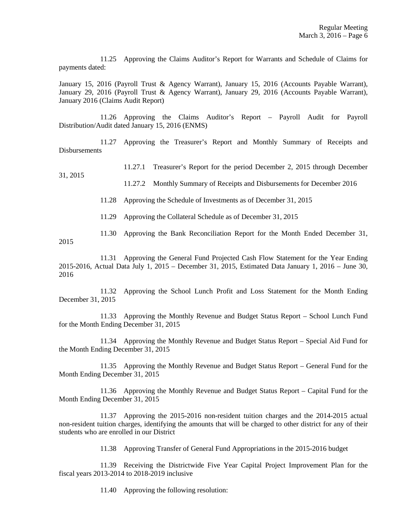11.25 Approving the Claims Auditor's Report for Warrants and Schedule of Claims for payments dated:

January 15, 2016 (Payroll Trust & Agency Warrant), January 15, 2016 (Accounts Payable Warrant), January 29, 2016 (Payroll Trust & Agency Warrant), January 29, 2016 (Accounts Payable Warrant), January 2016 (Claims Audit Report)

 11.26 Approving the Claims Auditor's Report – Payroll Audit for Payroll Distribution/Audit dated January 15, 2016 (ENMS)

 11.27 Approving the Treasurer's Report and Monthly Summary of Receipts and Disbursements

11.27.1 Treasurer's Report for the period December 2, 2015 through December

11.27.2 Monthly Summary of Receipts and Disbursements for December 2016

11.28 Approving the Schedule of Investments as of December 31, 2015

11.29 Approving the Collateral Schedule as of December 31, 2015

31, 2015

 11.30 Approving the Bank Reconciliation Report for the Month Ended December 31, 2015

 11.31 Approving the General Fund Projected Cash Flow Statement for the Year Ending 2015-2016, Actual Data July 1, 2015 – December 31, 2015, Estimated Data January 1, 2016 – June 30, 2016

 11.32 Approving the School Lunch Profit and Loss Statement for the Month Ending December 31, 2015

 11.33 Approving the Monthly Revenue and Budget Status Report – School Lunch Fund for the Month Ending December 31, 2015

 11.34 Approving the Monthly Revenue and Budget Status Report – Special Aid Fund for the Month Ending December 31, 2015

 11.35 Approving the Monthly Revenue and Budget Status Report – General Fund for the Month Ending December 31, 2015

 11.36 Approving the Monthly Revenue and Budget Status Report – Capital Fund for the Month Ending December 31, 2015

 11.37 Approving the 2015-2016 non-resident tuition charges and the 2014-2015 actual non-resident tuition charges, identifying the amounts that will be charged to other district for any of their students who are enrolled in our District

11.38 Approving Transfer of General Fund Appropriations in the 2015-2016 budget

 11.39 Receiving the Districtwide Five Year Capital Project Improvement Plan for the fiscal years 2013-2014 to 2018-2019 inclusive

11.40 Approving the following resolution: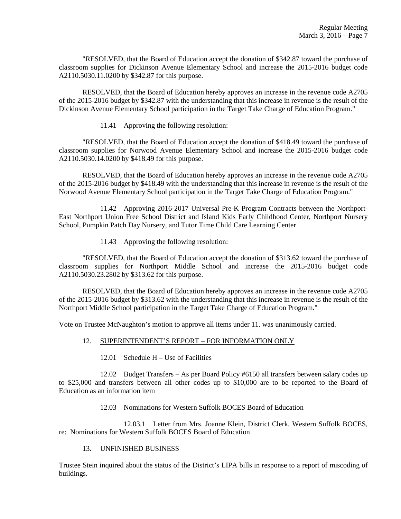"RESOLVED, that the Board of Education accept the donation of \$342.87 toward the purchase of classroom supplies for Dickinson Avenue Elementary School and increase the 2015-2016 budget code A2110.5030.11.0200 by \$342.87 for this purpose.

 RESOLVED, that the Board of Education hereby approves an increase in the revenue code A2705 of the 2015-2016 budget by \$342.87 with the understanding that this increase in revenue is the result of the Dickinson Avenue Elementary School participation in the Target Take Charge of Education Program."

11.41 Approving the following resolution:

 "RESOLVED, that the Board of Education accept the donation of \$418.49 toward the purchase of classroom supplies for Norwood Avenue Elementary School and increase the 2015-2016 budget code A2110.5030.14.0200 by \$418.49 for this purpose.

 RESOLVED, that the Board of Education hereby approves an increase in the revenue code A2705 of the 2015-2016 budget by \$418.49 with the understanding that this increase in revenue is the result of the Norwood Avenue Elementary School participation in the Target Take Charge of Education Program."

 11.42 Approving 2016-2017 Universal Pre-K Program Contracts between the Northport-East Northport Union Free School District and Island Kids Early Childhood Center, Northport Nursery School, Pumpkin Patch Day Nursery, and Tutor Time Child Care Learning Center

11.43 Approving the following resolution:

 "RESOLVED, that the Board of Education accept the donation of \$313.62 toward the purchase of classroom supplies for Northport Middle School and increase the 2015-2016 budget code A2110.5030.23.2802 by \$313.62 for this purpose.

 RESOLVED, that the Board of Education hereby approves an increase in the revenue code A2705 of the 2015-2016 budget by \$313.62 with the understanding that this increase in revenue is the result of the Northport Middle School participation in the Target Take Charge of Education Program."

Vote on Trustee McNaughton's motion to approve all items under 11. was unanimously carried.

# 12. SUPERINTENDENT'S REPORT – FOR INFORMATION ONLY

12.01 Schedule H – Use of Facilities

 12.02 Budget Transfers – As per Board Policy #6150 all transfers between salary codes up to \$25,000 and transfers between all other codes up to \$10,000 are to be reported to the Board of Education as an information item

#### 12.03 Nominations for Western Suffolk BOCES Board of Education

 12.03.1 Letter from Mrs. Joanne Klein, District Clerk, Western Suffolk BOCES, re: Nominations for Western Suffolk BOCES Board of Education

# 13. UNFINISHED BUSINESS

Trustee Stein inquired about the status of the District's LIPA bills in response to a report of miscoding of buildings.